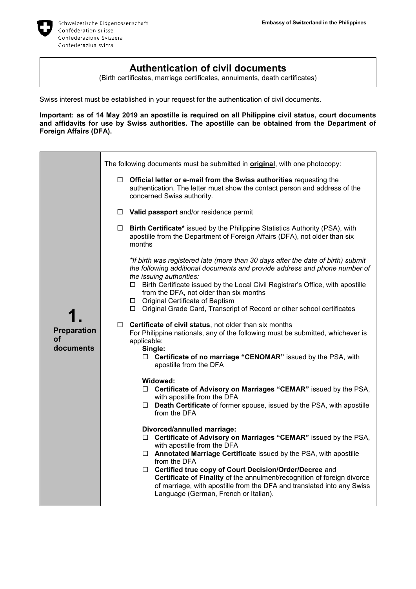

## **Authentication of civil documents**

(Birth certificates, marriage certificates, annulments, death certificates)

Swiss interest must be established in your request for the authentication of civil documents.

**Important: as of 14 May 2019 an apostille is required on all Philippine civil status, court documents and affidavits for use by Swiss authorities. The apostille can be obtained from the Department of Foreign Affairs (DFA).**

|                                       | The following documents must be submitted in <b>original</b> , with one photocopy:                                                                                                                                                                                                                                        |  |
|---------------------------------------|---------------------------------------------------------------------------------------------------------------------------------------------------------------------------------------------------------------------------------------------------------------------------------------------------------------------------|--|
| <b>Preparation</b><br>οf<br>documents | $\Box$ Official letter or e-mail from the Swiss authorities requesting the<br>authentication. The letter must show the contact person and address of the<br>concerned Swiss authority.                                                                                                                                    |  |
|                                       | $\Box$ Valid passport and/or residence permit                                                                                                                                                                                                                                                                             |  |
|                                       | Birth Certificate* issued by the Philippine Statistics Authority (PSA), with<br>$\Box$<br>apostille from the Department of Foreign Affairs (DFA), not older than six<br>months                                                                                                                                            |  |
|                                       | *If birth was registered late (more than 30 days after the date of birth) submit<br>the following additional documents and provide address and phone number of<br>the issuing authorities:<br>□ Birth Certificate issued by the Local Civil Registrar's Office, with apostille<br>from the DFA, not older than six months |  |
|                                       | □ Original Certificate of Baptism<br>□ Original Grade Card, Transcript of Record or other school certificates                                                                                                                                                                                                             |  |
|                                       | Certificate of civil status, not older than six months<br>$\Box$<br>For Philippine nationals, any of the following must be submitted, whichever is<br>applicable:<br>Single:                                                                                                                                              |  |
|                                       | □ Certificate of no marriage "CENOMAR" issued by the PSA, with<br>apostille from the DFA                                                                                                                                                                                                                                  |  |
|                                       | Widowed:<br>□ Certificate of Advisory on Marriages "CEMAR" issued by the PSA,<br>with apostille from the DFA<br>$\Box$ Death Certificate of former spouse, issued by the PSA, with apostille<br>from the DFA                                                                                                              |  |
|                                       | Divorced/annulled marriage:<br>□ Certificate of Advisory on Marriages "CEMAR" issued by the PSA,<br>with apostille from the DFA<br>□ Annotated Marriage Certificate issued by the PSA, with apostille                                                                                                                     |  |
|                                       | from the DFA<br>□ Certified true copy of Court Decision/Order/Decree and<br>Certificate of Finality of the annulment/recognition of foreign divorce<br>of marriage, with apostille from the DFA and translated into any Swiss<br>Language (German, French or Italian).                                                    |  |